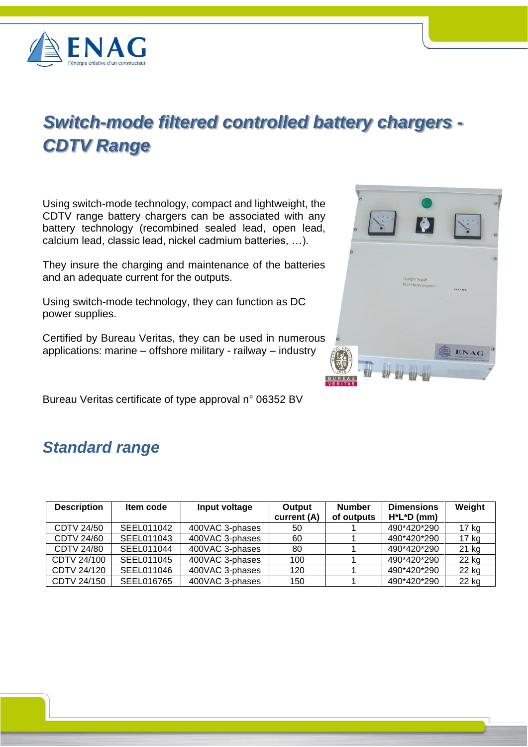

# *Switch-mode filtered controlled battery chargers - CDTV Range*

Using switch-mode technology, compact and lightweight, the CDTV range battery chargers can be associated with any battery technology (recombined sealed lead, open lead, calcium lead, classic lead, nickel cadmium batteries, …).

They insure the charging and maintenance of the batteries and an adequate current for the outputs.

Using switch-mode technology, they can function as DC power supplies.

Certified by Bureau Veritas, they can be used in numerous applications: marine – offshore military - railway – industry

Bureau Veritas certificate of type approval n° 06352 BV

# *Standard range*

| <b>Description</b> | Item code  | Input voltage   | Output<br>current (A) | <b>Number</b><br>of outputs | <b>Dimensions</b><br>$H^*L^*D$ (mm) | Weight |
|--------------------|------------|-----------------|-----------------------|-----------------------------|-------------------------------------|--------|
| CDTV 24/50         | SEEL011042 | 400VAC 3-phases | 50                    |                             | 490*420*290                         | 17 kg  |
| <b>CDTV 24/60</b>  | SEEL011043 | 400VAC 3-phases | 60                    |                             | 490*420*290                         | 17 kg  |
| CDTV 24/80         | SEEL011044 | 400VAC 3-phases | 80                    |                             | 490*420*290                         | 21 kg  |
| CDTV 24/100        | SEEL011045 | 400VAC 3-phases | 100                   |                             | 490*420*290                         | 22 kg  |
| CDTV 24/120        | SEEL011046 | 400VAC 3-phases | 120                   |                             | 490*420*290                         | 22 kg  |
| CDTV 24/150        | SEEL016765 | 400VAC 3-phases | 150                   |                             | 490*420*290                         | 22 kg  |